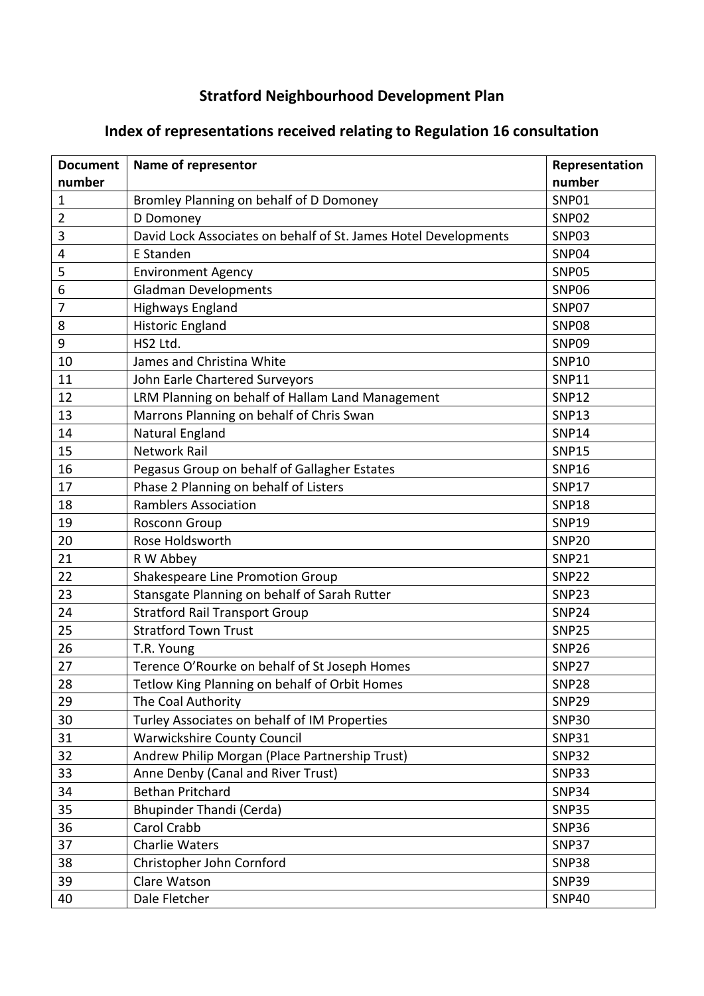## **Stratford Neighbourhood Development Plan**

| <b>Document</b> | Name of representor                                             | Representation |
|-----------------|-----------------------------------------------------------------|----------------|
| number          |                                                                 | number         |
| 1               | Bromley Planning on behalf of D Domoney                         | SNP01          |
| 2               | D Domoney                                                       | SNP02          |
| 3               | David Lock Associates on behalf of St. James Hotel Developments | SNP03          |
| 4               | E Standen                                                       | SNP04          |
| 5               | <b>Environment Agency</b>                                       | <b>SNP05</b>   |
| 6               | <b>Gladman Developments</b>                                     | <b>SNP06</b>   |
| 7               | <b>Highways England</b>                                         | SNP07          |
| 8               | <b>Historic England</b>                                         | <b>SNP08</b>   |
| 9               | HS2 Ltd.                                                        | SNP09          |
| 10              | James and Christina White                                       | <b>SNP10</b>   |
| 11              | John Earle Chartered Surveyors                                  | <b>SNP11</b>   |
| 12              | LRM Planning on behalf of Hallam Land Management                | <b>SNP12</b>   |
| 13              | Marrons Planning on behalf of Chris Swan                        | <b>SNP13</b>   |
| 14              | Natural England                                                 | <b>SNP14</b>   |
| 15              | <b>Network Rail</b>                                             | <b>SNP15</b>   |
| 16              | Pegasus Group on behalf of Gallagher Estates                    | <b>SNP16</b>   |
| 17              | Phase 2 Planning on behalf of Listers                           | <b>SNP17</b>   |
| 18              | <b>Ramblers Association</b>                                     | <b>SNP18</b>   |
| 19              | Rosconn Group                                                   | <b>SNP19</b>   |
| 20              | Rose Holdsworth                                                 | <b>SNP20</b>   |
| 21              | R W Abbey                                                       | <b>SNP21</b>   |
| 22              | Shakespeare Line Promotion Group                                | <b>SNP22</b>   |
| 23              | Stansgate Planning on behalf of Sarah Rutter                    | <b>SNP23</b>   |
| 24              | <b>Stratford Rail Transport Group</b>                           | <b>SNP24</b>   |
| 25              | <b>Stratford Town Trust</b>                                     | <b>SNP25</b>   |
| 26              | T.R. Young                                                      | <b>SNP26</b>   |
| 27              | Terence O'Rourke on behalf of St Joseph Homes                   | <b>SNP27</b>   |
| 28              | Tetlow King Planning on behalf of Orbit Homes                   | <b>SNP28</b>   |
| 29              | The Coal Authority                                              | <b>SNP29</b>   |
| 30              | Turley Associates on behalf of IM Properties                    | <b>SNP30</b>   |
| 31              | <b>Warwickshire County Council</b>                              | <b>SNP31</b>   |
| 32              | Andrew Philip Morgan (Place Partnership Trust)                  | <b>SNP32</b>   |
| 33              | Anne Denby (Canal and River Trust)                              | <b>SNP33</b>   |
| 34              | <b>Bethan Pritchard</b>                                         | <b>SNP34</b>   |
| 35              | Bhupinder Thandi (Cerda)                                        | <b>SNP35</b>   |
| 36              | Carol Crabb                                                     | <b>SNP36</b>   |
| 37              | <b>Charlie Waters</b>                                           | <b>SNP37</b>   |
| 38              | Christopher John Cornford                                       | <b>SNP38</b>   |
| 39              | Clare Watson                                                    | <b>SNP39</b>   |
| 40              | Dale Fletcher                                                   | <b>SNP40</b>   |

## **Index of representations received relating to Regulation 16 consultation**